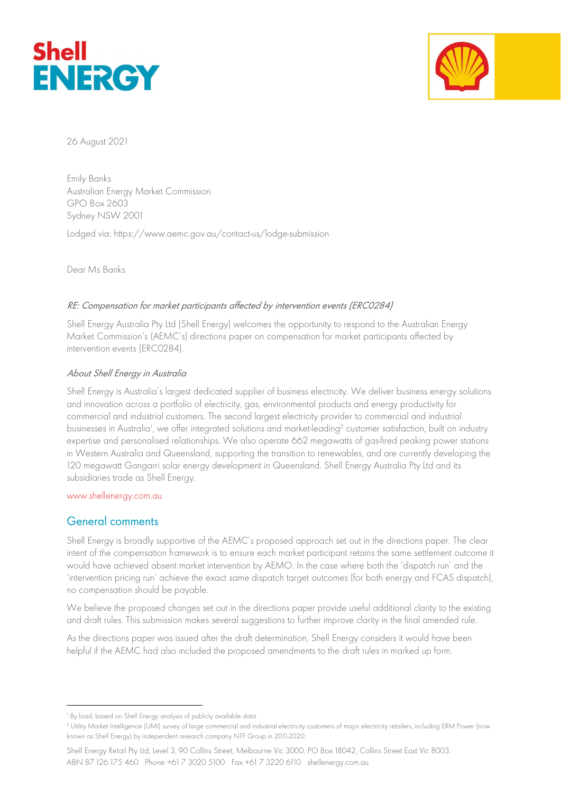



26 August 2021

Emily Banks Australian Energy Market Commission GPO Box 2603 Sydney NSW 2001

Lodged via: https://www.aemc.gov.au/contact-us/lodge-submission

Dear Ms Banks

#### RE: Compensation for market participants affected by intervention events (ERC0284)

Shell Energy Australia Pty Ltd (Shell Energy) welcomes the opportunity to respond to the Australian Energy Market Commission's (AEMC's) directions paper on compensation for market participants affected by intervention events (ERC0284).

#### About Shell Energy in Australia

Shell Energy is Australia's largest dedicated supplier of business electricity. We deliver business energy solutions and innovation across a portfolio of electricity, gas, environmental products and energy productivity for commercial and industrial customers. The second largest electricity provider to commercial and industrial businesses in Australia<sup>1</sup>, we offer integrated solutions and market-leading<sup>2</sup> customer satisfaction, built on industry expertise and personalised relationships. We also operate 662 megawatts of gas-fired peaking power stations in Western Australia and Queensland, supporting the transition to renewables, and are currently developing the 120 megawatt Gangarri solar energy development in Queensland. Shell Energy Australia Pty Ltd and its subsidiaries trade as Shell Energy.

#### www.shellenergy.com.au

#### General comments

Shell Energy is broadly supportive of the AEMC's proposed approach set out in the directions paper. The clear intent of the compensation framework is to ensure each market participant retains the same settlement outcome it would have achieved absent market intervention by AEMO. In the case where both the 'dispatch run' and the 'intervention pricing run' achieve the exact same dispatch target outcomes (for both energy and FCAS dispatch), no compensation should be payable.

We believe the proposed changes set out in the directions paper provide useful additional clarity to the existing and draft rules. This submission makes several suggestions to further improve clarity in the final amended rule.

As the directions paper was issued after the draft determination, Shell Energy considers it would have been helpful if the AEMC had also included the proposed amendments to the draft rules in marked up form.

<sup>1</sup> By load, based on Shell Energy analysis of publicly available data.

<sup>2</sup> Utility Market Intelligence (UMI) survey of large commercial and industrial electricity customers of major electricity retailers, including ERM Power (now known as Shell Energy) by independent research company NTF Group in 2011-2020.

Shell Energy Retail Pty Ltd, Level 3, 90 Collins Street, Melbourne Vic 3000. PO Box 18042, Collins Street East Vic 8003. ABN 87 126 175 460 Phone +61 7 3020 5100 Fax +61 7 3220 6110 shellenergy.com.au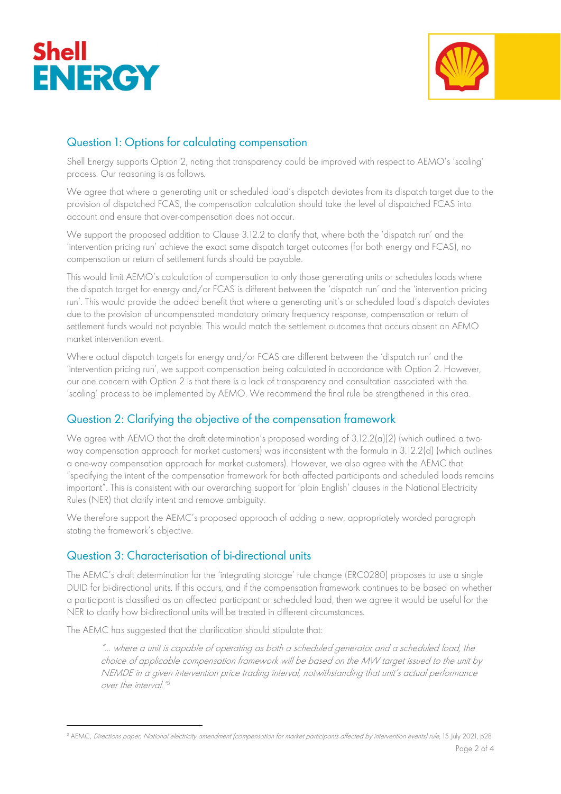



## Question 1: Options for calculating compensation

Shell Energy supports Option 2, noting that transparency could be improved with respect to AEMO's 'scaling' process. Our reasoning is as follows.

We agree that where a generating unit or scheduled load's dispatch deviates from its dispatch target due to the provision of dispatched FCAS, the compensation calculation should take the level of dispatched FCAS into account and ensure that over-compensation does not occur.

We support the proposed addition to Clause 3.12.2 to clarify that, where both the 'dispatch run' and the 'intervention pricing run' achieve the exact same dispatch target outcomes (for both energy and FCAS), no compensation or return of settlement funds should be payable.

This would limit AEMO's calculation of compensation to only those generating units or schedules loads where the dispatch target for energy and/or FCAS is different between the 'dispatch run' and the 'intervention pricing run'. This would provide the added benefit that where a generating unit's or scheduled load's dispatch deviates due to the provision of uncompensated mandatory primary frequency response, compensation or return of settlement funds would not payable. This would match the settlement outcomes that occurs absent an AEMO market intervention event.

Where actual dispatch targets for energy and/or FCAS are different between the 'dispatch run' and the 'intervention pricing run', we support compensation being calculated in accordance with Option 2. However, our one concern with Option 2 is that there is a lack of transparency and consultation associated with the 'scaling' process to be implemented by AEMO. We recommend the final rule be strengthened in this area.

# Question 2: Clarifying the objective of the compensation framework

We agree with AEMO that the draft determination's proposed wording of 3.12.2(a)(2) (which outlined a twoway compensation approach for market customers) was inconsistent with the formula in 3.12.2(d) (which outlines a one-way compensation approach for market customers). However, we also agree with the AEMC that "specifying the intent of the compensation framework for both affected participants and scheduled loads remains important". This is consistent with our overarching support for 'plain English' clauses in the National Electricity Rules (NER) that clarify intent and remove ambiguity.

We therefore support the AEMC's proposed approach of adding a new, appropriately worded paragraph stating the framework's objective.

# Question 3: Characterisation of bi-directional units

The AEMC's draft determination for the 'integrating storage' rule change (ERC0280) proposes to use a single DUID for bi-directional units. If this occurs, and if the compensation framework continues to be based on whether a participant is classified as an affected participant or scheduled load, then we agree it would be useful for the NER to clarify how bi-directional units will be treated in different circumstances.

The AEMC has suggested that the clarification should stipulate that:

"… where a unit is capable of operating as both a scheduled generator and a scheduled load, the choice of applicable compensation framework will be based on the MW target issued to the unit by NEMDE in a given intervention price trading interval, notwithstanding that unit's actual performance over the interval." 3

<sup>&</sup>lt;sup>3</sup> AEMC, *Directions paper, National electricity amendment (compensation for market participants affected by intervention events) rule, 15 July 2021, p28*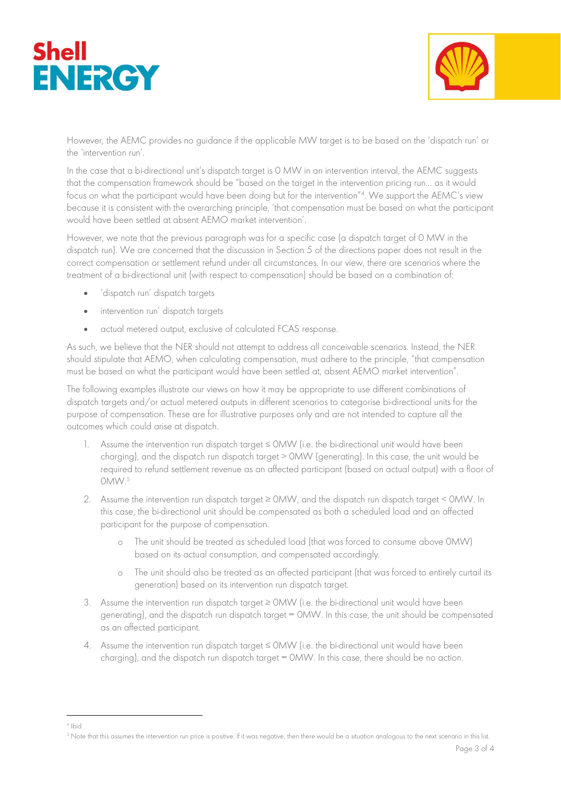



However, the AEMC provides no guidance if the applicable MW target is to be based on the 'dispatch run' or the 'intervention run'.

In the case that a bi-directional unit's dispatch target is 0 MW in an intervention interval, the AEMC suggests that the compensation framework should be "based on the target in the intervention pricing run… as it would focus on what the participant would have been doing but for the intervention"<sup>4</sup> . We support the AEMC's view because it is consistent with the overarching principle, 'that compensation must be based on what the participant would have been settled at absent AEMO market intervention'.

However, we note that the previous paragraph was for a specific case (a dispatch target of 0 MW in the dispatch run). We are concerned that the discussion in Section 5 of the directions paper does not result in the correct compensation or settlement refund under all circumstances. In our view, there are scenarios where the treatment of a bi-directional unit (with respect to compensation) should be based on a combination of:

- 'dispatch run' dispatch targets
- intervention run' dispatch targets
- actual metered output, exclusive of calculated FCAS response.

As such, we believe that the NER should not attempt to address all conceivable scenarios. Instead, the NER should stipulate that AEMO, when calculating compensation, must adhere to the principle, "that compensation must be based on what the participant would have been settled at, absent AEMO market intervention".

The following examples illustrate our views on how it may be appropriate to use different combinations of dispatch targets and/or actual metered outputs in different scenarios to categorise bi-directional units for the purpose of compensation. These are for illustrative purposes only and are not intended to capture all the outcomes which could arise at dispatch.

- 1. Assume the intervention run dispatch target ≤ 0MW (i.e. the bi-directional unit would have been charging), and the dispatch run dispatch target > 0MW (generating). In this case, the unit would be required to refund settlement revenue as an affected participant (based on actual output) with a floor of  $OMW.<sup>5</sup>$
- 2. Assume the intervention run dispatch target ≥ 0MW, and the dispatch run dispatch target < 0MW. In this case, the bi-directional unit should be compensated as both a scheduled load and an affected participant for the purpose of compensation.
	- o The unit should be treated as scheduled load (that was forced to consume above 0MW) based on its actual consumption, and compensated accordingly.
	- o The unit should also be treated as an affected participant (that was forced to entirely curtail its generation) based on its intervention run dispatch target.
- 3. Assume the intervention run dispatch target ≥ 0MW (i.e. the bi-directional unit would have been generating), and the dispatch run dispatch target = 0MW. In this case, the unit should be compensated as an affected participant.
- 4. Assume the intervention run dispatch target ≤ 0MW (i.e. the bi-directional unit would have been charging), and the dispatch run dispatch target = 0MW. In this case, there should be no action.

<sup>4</sup> Ibid

 $^5$  Note that this assumes the intervention run price is positive. If it was negative, then there would be a situation analogous to the next scenario in this list.